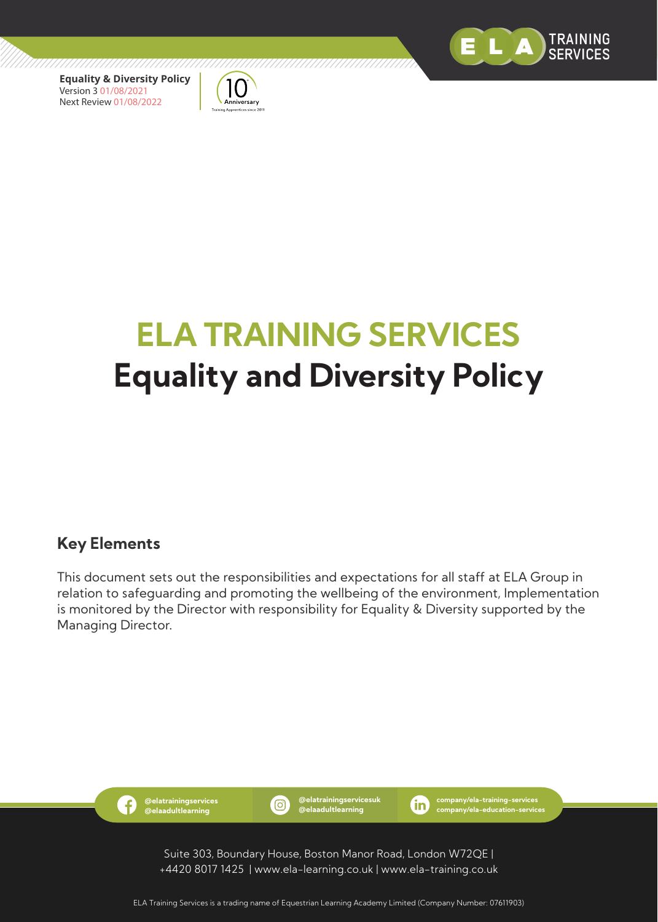



# **ELA TRAINING SERVICES Equality and Diversity Policy**

/////////////

#### **Key Elements**

This document sets out the responsibilities and expectations for all staff at ELA Group in relation to safeguarding and promoting the wellbeing of the environment, Implementation is monitored by the Director with responsibility for Equality & Diversity supported by the Managing Director.



**@elatrainingservicesuk @elaadultlearning**

**company/ela-training-services company/ela-education-services**

Suite 303, Boundary House, Boston Manor Road, London W72QE | +4420 8017 1425 | www.ela-learning.co.uk | www.ela-training.co.uk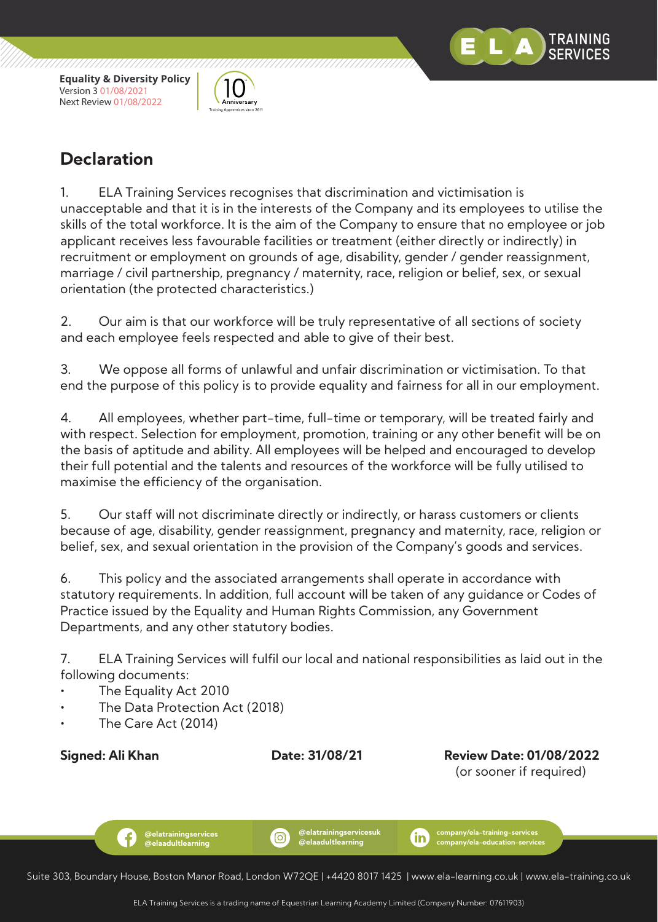

.<br>\nniversarv



1. ELA Training Services recognises that discrimination and victimisation is unacceptable and that it is in the interests of the Company and its employees to utilise the skills of the total workforce. It is the aim of the Company to ensure that no employee or job applicant receives less favourable facilities or treatment (either directly or indirectly) in recruitment or employment on grounds of age, disability, gender / gender reassignment, marriage / civil partnership, pregnancy / maternity, race, religion or belief, sex, or sexual orientation (the protected characteristics.)

2. Our aim is that our workforce will be truly representative of all sections of society and each employee feels respected and able to give of their best.

3. We oppose all forms of unlawful and unfair discrimination or victimisation. To that end the purpose of this policy is to provide equality and fairness for all in our employment.

4. All employees, whether part-time, full-time or temporary, will be treated fairly and with respect. Selection for employment, promotion, training or any other benefit will be on the basis of aptitude and ability. All employees will be helped and encouraged to develop their full potential and the talents and resources of the workforce will be fully utilised to maximise the efficiency of the organisation.

5. Our staff will not discriminate directly or indirectly, or harass customers or clients because of age, disability, gender reassignment, pregnancy and maternity, race, religion or belief, sex, and sexual orientation in the provision of the Company's goods and services.

6. This policy and the associated arrangements shall operate in accordance with statutory requirements. In addition, full account will be taken of any guidance or Codes of Practice issued by the Equality and Human Rights Commission, any Government Departments, and any other statutory bodies.

7. ELA Training Services will fulfil our local and national responsibilities as laid out in the following documents:

- The Equality Act 2010
- The Data Protection Act (2018)

**@elatrainingservices @elaadultlearning**

• The Care Act (2014)

f.

**Signed: Ali Khan Date: 31/08/21 Review Date: 01/08/2022** (or sooner if required)

TRAINING

(ම)



**company/ela-training-services** m **company/ela-education-services**

Suite 303, Boundary House, Boston Manor Road, London W72QE | +4420 8017 1425 | www.ela-learning.co.uk | www.ela-training.co.uk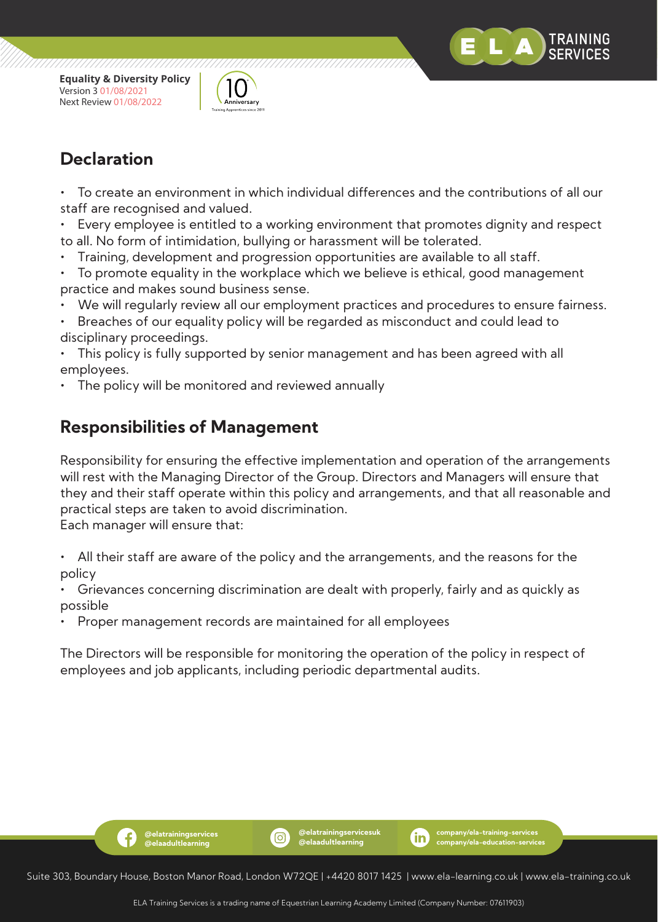



• To create an environment in which individual differences and the contributions of all our staff are recognised and valued.

Every employee is entitled to a working environment that promotes dignity and respect to all. No form of intimidation, bullying or harassment will be tolerated.

- Training, development and progression opportunities are available to all staff.
- To promote equality in the workplace which we believe is ethical, good management practice and makes sound business sense.
- We will regularly review all our employment practices and procedures to ensure fairness.
- Breaches of our equality policy will be regarded as misconduct and could lead to disciplinary proceedings.

This policy is fully supported by senior management and has been agreed with all employees.

The policy will be monitored and reviewed annually

## **Responsibilities of Management**

**@elatrainingservices @elaadultlearning**

f.

Responsibility for ensuring the effective implementation and operation of the arrangements will rest with the Managing Director of the Group. Directors and Managers will ensure that they and their staff operate within this policy and arrangements, and that all reasonable and practical steps are taken to avoid discrimination.

Each manager will ensure that:

• All their staff are aware of the policy and the arrangements, and the reasons for the policy

• Grievances concerning discrimination are dealt with properly, fairly and as quickly as possible

• Proper management records are maintained for all employees

The Directors will be responsible for monitoring the operation of the policy in respect of employees and job applicants, including periodic departmental audits.



ිම)

**@elatrainingservicesuk @elaadultlearning**

**company/ela-training-services company/ela-education-services**

(in)

TRAINING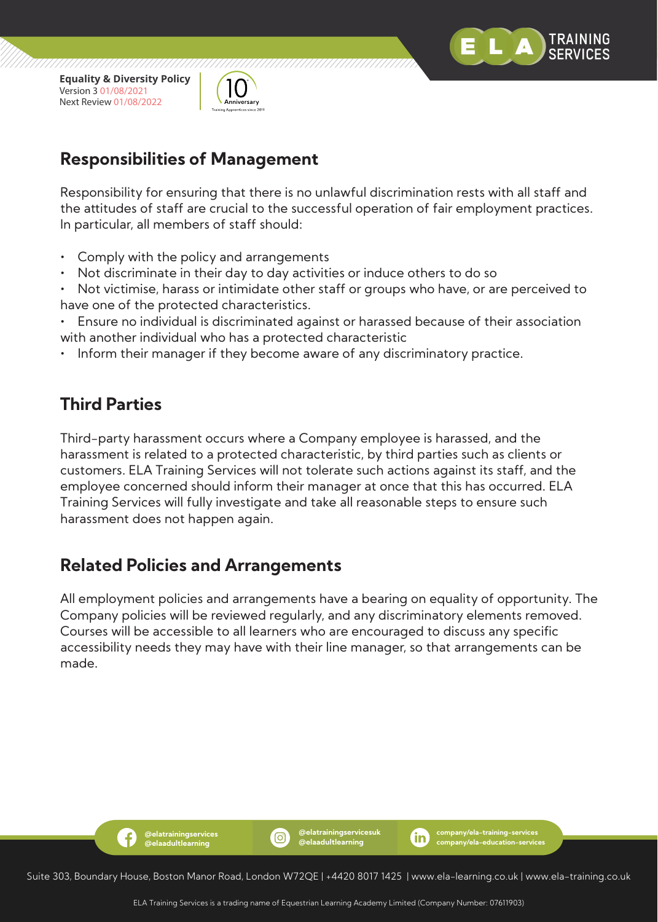



## **Responsibilities of Management**

Responsibility for ensuring that there is no unlawful discrimination rests with all staff and the attitudes of staff are crucial to the successful operation of fair employment practices. In particular, all members of staff should:

- Comply with the policy and arrangements
- Not discriminate in their day to day activities or induce others to do so
- Not victimise, harass or intimidate other staff or groups who have, or are perceived to have one of the protected characteristics.
- Ensure no individual is discriminated against or harassed because of their association with another individual who has a protected characteristic
- Inform their manager if they become aware of any discriminatory practice.

## **Third Parties**

Third-party harassment occurs where a Company employee is harassed, and the harassment is related to a protected characteristic, by third parties such as clients or customers. ELA Training Services will not tolerate such actions against its staff, and the employee concerned should inform their manager at once that this has occurred. ELA Training Services will fully investigate and take all reasonable steps to ensure such harassment does not happen again.

#### **Related Policies and Arrangements**

**@elatrainingservices @elaadultlearning**

f.

All employment policies and arrangements have a bearing on equality of opportunity. The Company policies will be reviewed regularly, and any discriminatory elements removed. Courses will be accessible to all learners who are encouraged to discuss any specific accessibility needs they may have with their line manager, so that arrangements can be made.



(ම)

**@elatrainingservicesuk @elaadultlearning**

**company/ela-training-services company/ela-education-services**

m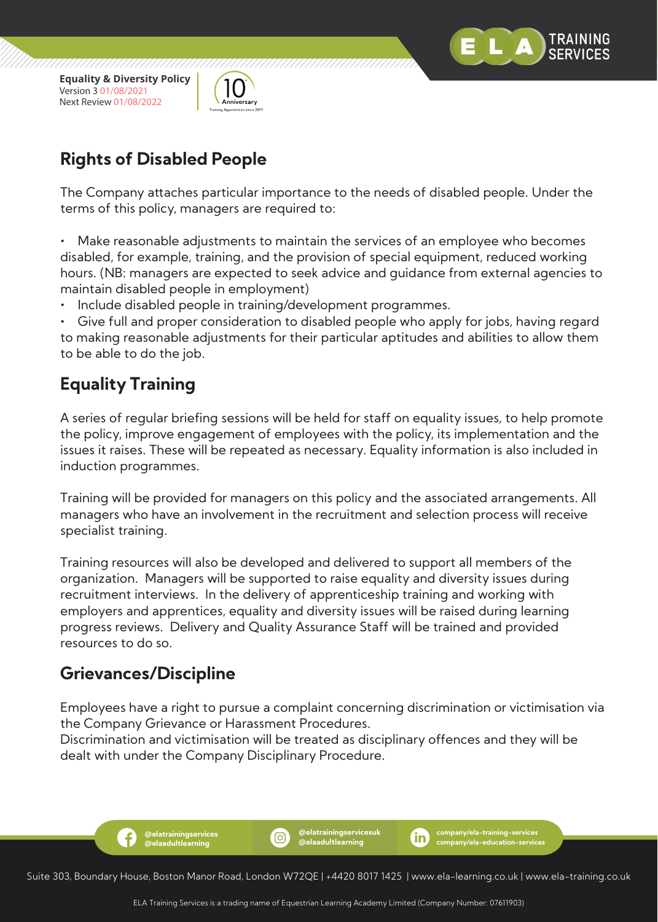



## **Rights of Disabled People**

The Company attaches particular importance to the needs of disabled people. Under the terms of this policy, managers are required to:

Make reasonable adjustments to maintain the services of an employee who becomes disabled, for example, training, and the provision of special equipment, reduced working hours. (NB: managers are expected to seek advice and guidance from external agencies to maintain disabled people in employment)

Include disabled people in training/development programmes.

• Give full and proper consideration to disabled people who apply for jobs, having regard to making reasonable adjustments for their particular aptitudes and abilities to allow them to be able to do the job.

## **Equality Training**

A series of regular briefing sessions will be held for staff on equality issues, to help promote the policy, improve engagement of employees with the policy, its implementation and the issues it raises. These will be repeated as necessary. Equality information is also included in induction programmes.

Training will be provided for managers on this policy and the associated arrangements. All managers who have an involvement in the recruitment and selection process will receive specialist training.

Training resources will also be developed and delivered to support all members of the organization. Managers will be supported to raise equality and diversity issues during recruitment interviews. In the delivery of apprenticeship training and working with employers and apprentices, equality and diversity issues will be raised during learning progress reviews. Delivery and Quality Assurance Staff will be trained and provided resources to do so.

## **Grievances/Discipline**

f.

**@elatrainingservices @elaadultlearning**

Employees have a right to pursue a complaint concerning discrimination or victimisation via the Company Grievance or Harassment Procedures.

Discrimination and victimisation will be treated as disciplinary offences and they will be dealt with under the Company Disciplinary Procedure.

Suite 303, Boundary House, Boston Manor Road, London W72QE | +4420 8017 1425 | www.ela-learning.co.uk | www.ela-training.co.uk

(ම)

**@elatrainingservicesuk @elaadultlearning**

**company/ela-training-services company/ela-education-services**

m